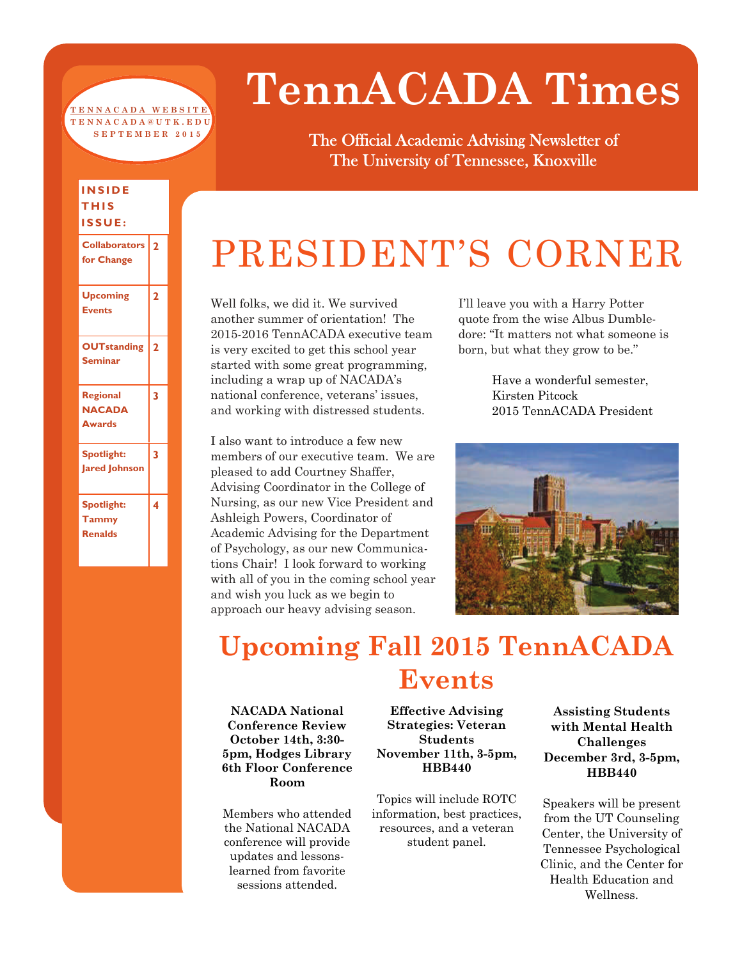#### **[TENNACADA WEBSITE](http://tennacada.utk.edu/) TENNACADA@UTK.EDU SEPTEMBER 2015**

**INSIDE THIS ISSUE:** 

**Upcoming Events** 

**OUTstanding Seminar** 

**Regional NACADA Awards** 

**Spotlight: Jared Johnson** 

**Spotlight: Tammy Renalds** 

**Collaborators 2 for Change** 

**2** 

**2** 

**3** 

**3** 

**4** 

# **TennACADA Times**

The Official Academic Advising Newsletter of The University of Tennessee, Knoxville

## PRESIDENT'S CORNER

Well folks, we did it. We survived another summer of orientation! The 2015-2016 TennACADA executive team is very excited to get this school year started with some great programming, including a wrap up of NACADA's national conference, veterans' issues, and working with distressed students.

I also want to introduce a few new members of our executive team. We are pleased to add Courtney Shaffer, Advising Coordinator in the College of Nursing, as our new Vice President and Ashleigh Powers, Coordinator of Academic Advising for the Department of Psychology, as our new Communications Chair! I look forward to working with all of you in the coming school year and wish you luck as we begin to approach our heavy advising season.

I'll leave you with a Harry Potter quote from the wise Albus Dumbledore: "It matters not what someone is born, but what they grow to be."

> Have a wonderful semester, Kirsten Pitcock 2015 TennACADA President



### **Upcoming Fall 2015 TennACADA Events**

**NACADA National Conference Review October 14th, 3:30- 5pm, Hodges Library 6th Floor Conference Room** 

Members who attended the National NACADA conference will provide updates and lessonslearned from favorite sessions attended.

**Effective Advising Strategies: Veteran Students November 11th, 3-5pm, HBB440** 

Topics will include ROTC information, best practices, resources, and a veteran student panel.

**Assisting Students with Mental Health Challenges December 3rd, 3-5pm, HBB440** 

Speakers will be present from the UT Counseling Center, the University of Tennessee Psychological Clinic, and the Center for Health Education and Wellness.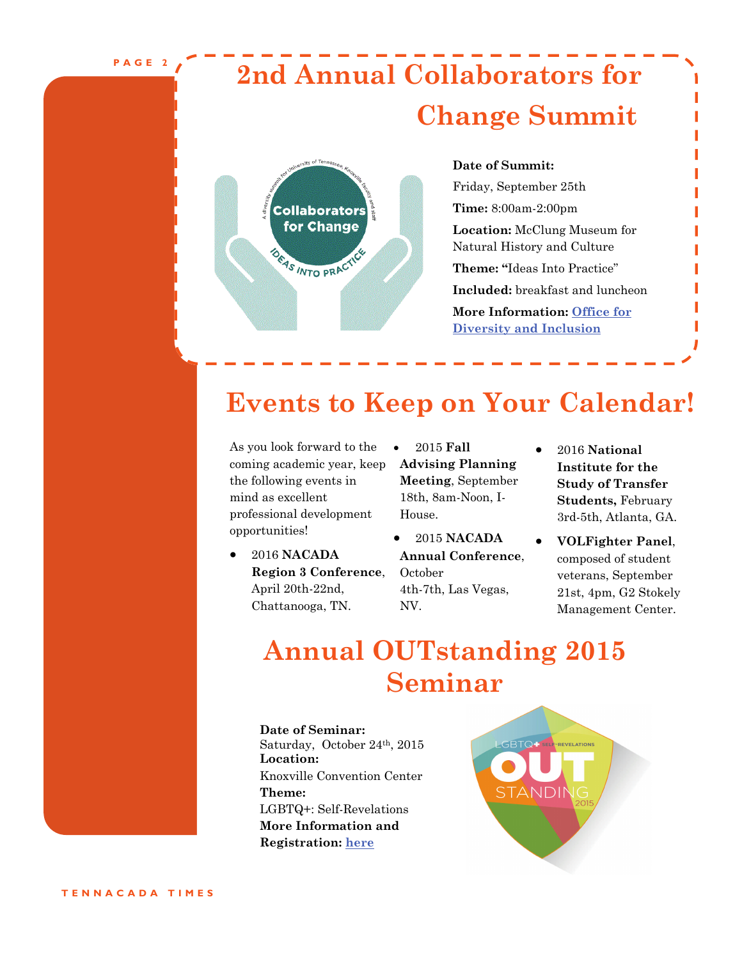**PAGE 2** 

### **2nd Annual Collaborators for Change Summit**



#### **Date of Summit:**

Friday, September 25th **Time:** 8:00am-2:00pm **Location:** McClung Museum for Natural History and Culture **Theme: "**Ideas Into Practice" **Included:** breakfast and luncheon **More Information: [Office for](http://diversity.utk.edu/events/summit/)  [Diversity and Inclusion](http://diversity.utk.edu/events/summit/)**

### **Events to Keep on Your Calendar!**

As you look forward to the coming academic year, keep the following events in mind as excellent professional development opportunities!

- 2016 **NACADA Region 3 Conference**, April 20th-22nd, Chattanooga, TN.
- 2015 **Fall Advising Planning Meeting**, September 18th, 8am-Noon, I-House.
- 2015 **NACADA Annual Conference**, October 4th-7th, Las Vegas, NV.
- 2016 **National Institute for the Study of Transfer Students,** February 3rd-5th, Atlanta, GA.
- **VOLFighter Panel**, composed of student veterans, September 21st, 4pm, G2 Stokely Management Center.

### **Annual OUTstanding 2015 Seminar**

**Date of Seminar:** Saturday, October 24th, 2015 **Location:** Knoxville Convention Center **Theme:**  LGBTQ+: Self-Revelations **More Information and Registration: [here](https://outstandingseminar.wordpress.com/)**

LGBTQ F SELF-REVELATION: **STANDI**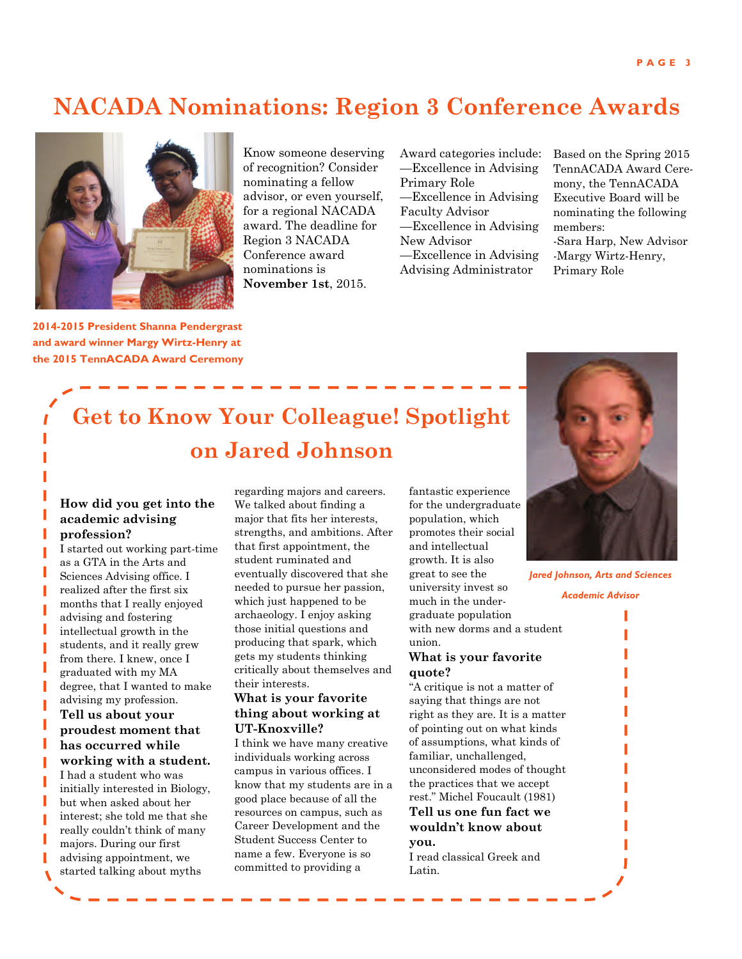### **NACADA Nominations: Region 3 Conference Awards**



Know someone deserving of recognition? Consider nominating a fellow advisor, or even yourself, for a regional NACADA award. The deadline for Region 3 NACADA Conference award nominations is **November 1st**, 2015.

Award categories include: —Excellence in Advising Primary Role —Excellence in Advising Faculty Advisor —Excellence in Advising New Advisor —Excellence in Advising Advising Administrator

Based on the Spring 2015 TennACADA Award Ceremony, the TennACADA Executive Board will be nominating the following members: -Sara Harp, New Advisor -Margy Wirtz-Henry, Primary Role

**2014-2015 President Shanna Pendergrast and award winner Margy Wirtz-Henry at the 2015 TennACADA Award Ceremony** 

### **Get to Know Your Colleague! Spotlight on Jared Johnson**

#### **How did you get into the academic advising profession?**

I started out working part-time as a GTA in the Arts and Sciences Advising office. I realized after the first six months that I really enjoyed advising and fostering intellectual growth in the students, and it really grew from there. I knew, once I graduated with my MA degree, that I wanted to make advising my profession.

**Tell us about your proudest moment that has occurred while working with a student.**  I had a student who was initially interested in Biology, but when asked about her interest; she told me that she really couldn't think of many majors. During our first advising appointment, we started talking about myths

regarding majors and careers. We talked about finding a major that fits her interests, strengths, and ambitions. After that first appointment, the student ruminated and eventually discovered that she needed to pursue her passion, which just happened to be archaeology. I enjoy asking those initial questions and producing that spark, which gets my students thinking critically about themselves and their interests.

#### **What is your favorite thing about working at UT-Knoxville?**

I think we have many creative individuals working across campus in various offices. I know that my students are in a good place because of all the resources on campus, such as Career Development and the Student Success Center to name a few. Everyone is so committed to providing a

fantastic experience for the undergraduate population, which promotes their social and intellectual growth. It is also great to see the university invest so much in the undergraduate population with new dorms and a student union.

#### **What is your favorite quote?**

"A critique is not a matter of saying that things are not right as they are. It is a matter of pointing out on what kinds of assumptions, what kinds of familiar, unchallenged, unconsidered modes of thought the practices that we accept rest." Michel Foucault (1981) **Tell us one fun fact we** 

**wouldn't know about you.** 

I read classical Greek and Latin.



*Jared Johnson, Arts and Sciences* 

*Academic Advisor* 

I